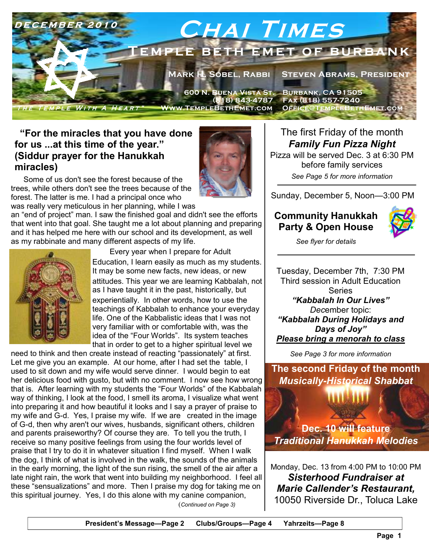

## **"For the miracles that you have done for us ...at this time of the year." (Siddur prayer for the Hanukkah miracles)**

Some of us don't see the forest because of the trees, while others don't see the trees because of the forest. The latter is me. I had a principal once who was really very meticulous in her planning, while I was



an "end of project" man. I saw the finished goal and didn't see the efforts that went into that goal. She taught me a lot about planning and preparing and it has helped me here with our school and its development, as well as my rabbinate and many different aspects of my life.



 Every year when I prepare for Adult Education, I learn easily as much as my students. It may be some new facts, new ideas, or new attitudes. This year we are learning Kabbalah, not as I have taught it in the past, historically, but experientially. In other words, how to use the

teachings of Kabbalah to enhance your everyday life. One of the Kabbalistic ideas that I was not very familiar with or comfortable with, was the idea of the "Four Worlds". Its system teaches that in order to get to a higher spiritual level we

 (*Continued on Page 3)* need to think and then create instead of reacting "passionately" at first. Let me give you an example. At our home, after I had set the table, I used to sit down and my wife would serve dinner. I would begin to eat her delicious food with gusto, but with no comment. I now see how wrong that is. After learning with my students the "Four Worlds" of the Kabbalah way of thinking, I look at the food, I smell its aroma, I visualize what went into preparing it and how beautiful it looks and I say a prayer of praise to my wife and G-d. Yes, I praise my wife. If we are created in the image of G-d, then why aren't our wives, husbands, significant others, children and parents praiseworthy? Of course they are. To tell you the truth, I receive so many positive feelings from using the four worlds level of praise that I try to do it in whatever situation I find myself. When I walk the dog, I think of what is involved in the walk, the sounds of the animals in the early morning, the light of the sun rising, the smell of the air after a late night rain, the work that went into building my neighborhood. I feel all these "sensualizations" and more. Then I praise my dog for taking me on this spiritual journey. Yes, I do this alone with my canine companion,

The first Friday of the month *Family Fun Pizza Night* 

Pizza will be served Dec. 3 at 6:30 PM before family services *See Page 5 for more information* 

Sunday, December 5, Noon—3:00 PM

# **Community Hanukkah Party & Open House**



*See flyer for details* 

Tuesday, December 7th, 7:30 PM Third session in Adult Education Series *"Kabbalah In Our Lives" Dec*ember topic: *"Kabbalah During Holidays and Days of Joy" Please bring a menorah to class*

*See Page 3 for more information* 

**The second Friday of the month**  *Musically-Historical Shabbat* 

**Dec. 10 will feature**  *Traditional Hanukkah Melodies* 

Monday, Dec. 13 from 4:00 PM to 10:00 PM *Sisterhood Fundraiser at Marie Callender's Restaurant,*  10050 Riverside Dr., Toluca Lake

**President's Message—Page 2 Clubs/Groups—Page 4 Yahrzeits—Page 8**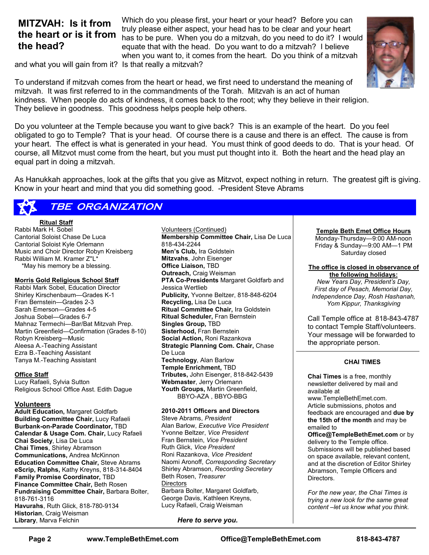# **MITZVAH: Is it from the heart or is it from the head?**

Which do you please first, your heart or your head? Before you can truly please either aspect, your head has to be clear and your heart has to be pure. When you do a mitzvah, do you need to do it? I would equate that with the head. Do you want to do a mitzvah? I believe when you want to, it comes from the heart. Do you think of a mitzvah



and what you will gain from it? Is that really a mitzvah?

To understand if mitzvah comes from the heart or head, we first need to understand the meaning of mitzvah. It was first referred to in the commandments of the Torah. Mitzvah is an act of human kindness. When people do acts of kindness, it comes back to the root; why they believe in their religion. They believe in goodness. This goodness helps people help others.

Do you volunteer at the Temple because you want to give back? This is an example of the heart. Do you feel obligated to go to Temple? That is your head. Of course there is a cause and there is an effect. The cause is from your heart. The effect is what is generated in your head. You must think of good deeds to do. That is your head. Of course, all Mitzvot must come from the heart, but you must put thought into it. Both the heart and the head play an equal part in doing a mitzvah.

As Hanukkah approaches, look at the gifts that you give as Mitzvot, expect nothing in return. The greatest gift is giving. Know in your heart and mind that you did something good. -President Steve Abrams

# **TBE ORGANIZATION**

**Ritual Staff**

Rabbi Mark H. Sobel Cantorial Soloist Chase De Luca Cantorial Soloist Kyle Orlemann Music and Choir Director Robyn Kreisberg Rabbi William M. Kramer Z''L\* \*May his memory be a blessing.

#### **Morris Gold Religious School Staff**

Rabbi Mark Sobel, Education Director Shirley Kirschenbaum—Grades K-1 Fran Bernstein—Grades 2-3 Sarah Emerson—Grades 4-5 Joshua Sobel—Grades 6-7 Mahnaz Termechi—Bar/Bat Mitzvah Prep. Martin Greenfield—Confirmation (Grades 8-10) Robyn Kreisberg—Music Aleesa A.-Teaching Assistant Ezra B.-Teaching Assistant Tanya M.-Teaching Assistant

#### **Office Staff**

Lucy Rafaeli, Sylvia Sutton Religious School Office Asst. Edith Dague

#### **Volunteers**

**Adult Education,** Margaret Goldfarb **Building Committee Chair,** Lucy Rafaeli **Burbank-on-Parade Coordinator,** TBD **Calendar & Usage Com. Chair,** Lucy Rafaeli **Chai Society**, Lisa De Luca **Chai Times**, Shirley Abramson **Communications,** Andrea McKinnon **Education Committee Chair,** Steve Abrams **eScrip, Ralphs,** Kathy Kreyns, 818-314-8404 **Family Promise Coordinator,** TBD **Finance Committee Chair,** Beth Rosen **Fundraising Committee Chair,** Barbara Bolter, 818-761-3116 **Havurahs**, Ruth Glick, 818-780-9134 **Historian**, Craig Weisman **Library**, Marva Felchin

Volunteers (Continued) **Membership Committee Chair,** Lisa De Luca 818-434-2244 **Men's Club,** Ira Goldstein **Mitzvahs**, John Eisenger **Office Liaison,** TBD **Outreach,** Craig Weisman **PTA Co-Presidents** Margaret Goldfarb and Jessica Wertlieb **Publicity,** Yvonne Beltzer, 818-848-6204 **Recycling,** Lisa De Luca **Ritual Committee Chair,** Ira Goldstein **Ritual Scheduler,** Fran Bernstein **Singles Group,** TBD **Sisterhood,** Fran Bernstein **Social Action,** Roni Razankova **Strategic Planning Com. Chair,** Chase De Luca **Technology**, Alan Barlow **Temple Enrichment,** TBD **Tributes,** John Eisenger, 818-842-5439 **Webmaster**, Jerry Orlemann **Youth Groups,** Martin Greenfield, BBYO-AZA , BBYO-BBG

#### **2010-2011 Officers and Directors**

Steve Abrams, *President*  Alan Barlow, *Executive Vice President*  Yvonne Beltzer, *Vice President*  Fran Bernstein, *Vice President*  Ruth Glick, *Vice President*  Roni Razankova, *Vice President*  Naomi Aronoff, *Corresponding Secretary*  Shirley Abramson, *Recording Secretary*  Beth Rosen, *Treasurer*  **Directors** Barbara Bolter, Margaret Goldfarb, George Davis, Kathleen Kreyns, Lucy Rafaeli, Craig Weisman

*Here to serve you.*

#### **Temple Beth Emet Office Hours**

Monday-Thursday—9:00 AM-noon Friday & Sunday—9:00 AM—1 PM Saturday closed

## **The office is closed in observance of**

**the following holidays:**  *New Years Day, President's Day, First day of Pesach, Memorial Day, Independence Day, Rosh Hashanah, Yom Kippur, Thanksgiving* 

Call Temple office at 818-843-4787 to contact Temple Staff/volunteers. Your message will be forwarded to the appropriate person.

#### **CHAI TIMES**

**Chai Times** is a free, monthly newsletter delivered by mail and available at

www.TempleBethEmet.com. Article submissions, photos and feedback are encouraged and **due by the 15th of the month** and may be emailed to

**Office@TempleBethEmet.com** or by delivery to the Temple office. Submissions will be published based on space available, relevant content, and at the discretion of Editor Shirley Abramson, Temple Officers and Directors.

*For the new year, the Chai Times is trying a new look for the same great content –let us know what you think.*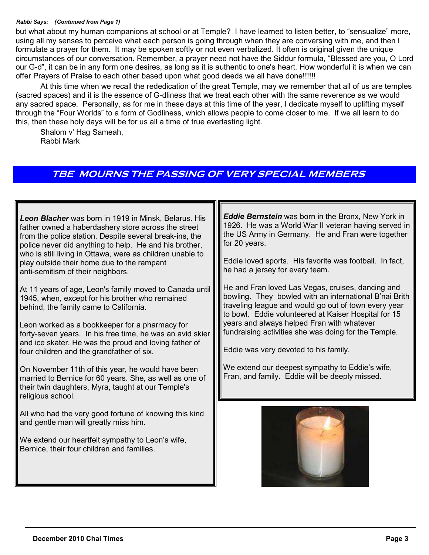### *Rabbi Says: (Continued from Page 1)*

but what about my human companions at school or at Temple? I have learned to listen better, to "sensualize" more, using all my senses to perceive what each person is going through when they are conversing with me, and then I formulate a prayer for them. It may be spoken softly or not even verbalized. It often is original given the unique circumstances of our conversation. Remember, a prayer need not have the Siddur formula, "Blessed are you, O Lord our G-d", it can be in any form one desires, as long as it is authentic to one's heart. How wonderful it is when we can offer Prayers of Praise to each other based upon what good deeds we all have done!!!!!!

At this time when we recall the rededication of the great Temple, may we remember that all of us are temples (sacred spaces) and it is the essence of G-dliness that we treat each other with the same reverence as we would any sacred space. Personally, as for me in these days at this time of the year, I dedicate myself to uplifting myself through the "Four Worlds" to a form of Godliness, which allows people to come closer to me. If we all learn to do this, then these holy days will be for us all a time of true everlasting light.

Shalom v' Hag Sameah, Rabbi Mark

# **TBE MOURNS THE PASSING OF VERY SPECIAL MEMBERS**

*Leon Blacher* was born in 1919 in Minsk, Belarus. His father owned a haberdashery store across the street from the police station. Despite several break-ins, the police never did anything to help. He and his brother, who is still living in Ottawa, were as children unable to play outside their home due to the rampant anti-semitism of their neighbors.

At 11 years of age, Leon's family moved to Canada until 1945, when, except for his brother who remained behind, the family came to California.

Leon worked as a bookkeeper for a pharmacy for forty-seven years. In his free time, he was an avid skier and ice skater. He was the proud and loving father of four children and the grandfather of six.

On November 11th of this year, he would have been married to Bernice for 60 years. She, as well as one of their twin daughters, Myra, taught at our Temple's religious school.

All who had the very good fortune of knowing this kind and gentle man will greatly miss him.

We extend our heartfelt sympathy to Leon's wife, Bernice, their four children and families.

*Eddie Bernstein* was born in the Bronx, New York in 1926. He was a World War II veteran having served in the US Army in Germany. He and Fran were together for 20 years.

Eddie loved sports. His favorite was football. In fact, he had a jersey for every team.

He and Fran loved Las Vegas, cruises, dancing and bowling. They bowled with an international B'nai Brith traveling league and would go out of town every year to bowl. Eddie volunteered at Kaiser Hospital for 15 years and always helped Fran with whatever fundraising activities she was doing for the Temple.

Eddie was very devoted to his family.

We extend our deepest sympathy to Eddie's wife, Fran, and family. Eddie will be deeply missed.

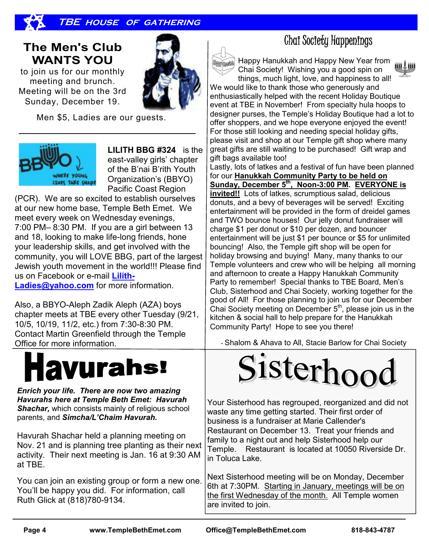

# **The Men's Club WANTS YOU**

to join us for our monthly meeting and brunch. Meeting will be on the 3rd Sunday, December 19.

Men \$5, Ladies are our guests.



**LILITH BBG #324** is the east-valley girls' chapter of the B'nai B'rith Youth Organization's (BBYO) Pacific Coast Region

(PCR). We are so excited to establish ourselves at our new home base, Temple Beth Emet. We meet every week on Wednesday evenings, 7:00 PM– 8:30 PM. If you are a girl between 13 and 18, looking to make life-long friends, hone your leadership skills, and get involved with the community, you will LOVE BBG, part of the largest Jewish youth movement in the world!!! Please find us on Facebook or e-mail **Lilith-**

**Ladies@yahoo.com** for more information.

Also, a BBYO-Aleph Zadik Aleph (AZA) boys chapter meets at TBE every other Tuesday (9/21, 10/5, 10/19, 11/2, etc.) from 7:30-8:30 PM. Contact Martin Greenfield through the Temple Office for more information.

# **avurahs!**

*Enrich your life. There are now two amazing Havurahs here at Temple Beth Emet: Havurah Shachar,* which consists mainly of religious school parents, and *Simcha/L'Chaim Havurah.* 

Havurah Shachar held a planning meeting on Nov. 21 and is planning tree planting as their next activity. Their next meeting is Jan. 16 at 9:30 AM at TBE.

You can join an existing group or form a new one. You'll be happy you did. For information, call Ruth Glick at (818)780-9134.



# Chai Society Happenings

Happy Hanukkah and Happy New Year from Chai Society! Wishing you a good spin on things, much light, love, and happiness to all!

We would like to thank those who generously and enthusiastically helped with the recent Holiday Boutique event at TBE in November! From specialty hula hoops to designer purses, the Temple's Holiday Boutique had a lot to offer shoppers, and we hope everyone enjoyed the event! For those still looking and needing special holiday gifts, please visit and shop at our Temple gift shop where many great gifts are still waiting to be purchased! Gift wrap and gift bags available too!

Lastly, lots of latkes and a festival of fun have been planned for our **Hanukkah Community Party to be held on Sunday, December 5th, Noon-3:00 PM. EVERYONE is invited!!** Lots of latkes, scrumptious salad, delicious donuts, and a bevy of beverages will be served! Exciting entertainment will be provided in the form of dreidel games and TWO bounce houses! Our jelly donut fundraiser will charge \$1 per donut or \$10 per dozen, and bouncer entertainment will be just \$1 per bounce or \$5 for unlimited bouncing! Also, the Temple gift shop will be open for holiday browsing and buying! Many, many thanks to our Temple volunteers and crew who will be helping all morning and afternoon to create a Happy Hanukkah Community Party to remember! Special thanks to TBE Board, Men's Club, Sisterhood and Chai Society, working together for the good of All! For those planning to join us for our December Chai Society meeting on December  $5<sup>th</sup>$ , please join us in the kitchen & social hall to help prepare for the Hanukkah Community Party! Hope to see you there!

- Shalom & Ahava to All, Stacie Barlow for Chai Society



Your Sisterhood has regrouped, reorganized and did not waste any time getting started. Their first order of business is a fundraiser at Marie Callender's Restaurant on December 13. Treat your friends and family to a night out and help Sisterhood help our Temple. Restaurant is located at 10050 Riverside Dr. in Toluca Lake.

Next Sisterhood meeting will be on Monday, December 6th at 7:30PM. Starting in January, meetings will be on the first Wednesday of the month. All Temple women are invited to join.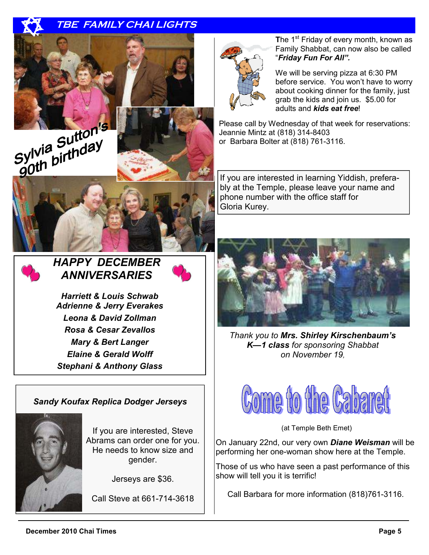# **TBE FAMILY CHAI LIGHTS**









# *HAPPY DECEMBER ANNIVERSARIES*



*Harriett & Louis Schwab Adrienne & Jerry Everakes Leona & David Zollman Rosa & Cesar Zevallos Mary & Bert Langer Elaine & Gerald Wolff Stephani & Anthony Glass* 

## *Sandy Koufax Replica Dodger Jerseys*



If you are interested, Steve Abrams can order one for you. He needs to know size and gender.

Jerseys are \$36.

Call Steve at 661-714-3618



**The 1<sup>st</sup> Friday of every month, known as** Family Shabbat, can now also be called "*Friday Fun For All".* 

We will be serving pizza at 6:30 PM before service. You won't have to worry about cooking dinner for the family, just grab the kids and join us. \$5.00 for adults and *kids eat free*!

Please call by Wednesday of that week for reservations: Jeannie Mintz at (818) 314-8403 or Barbara Bolter at (818) 761-3116.

If you are interested in learning Yiddish, preferably at the Temple, please leave your name and phone number with the office staff for Gloria Kurey.



*Thank you to Mrs. Shirley Kirschenbaum's K—1 class for sponsoring Shabbat on November 19,* 



(at Temple Beth Emet)

On January 22nd, our very own *Diane Weisman* will be performing her one-woman show here at the Temple.

Those of us who have seen a past performance of this show will tell you it is terrific!

Call Barbara for more information (818)761-3116.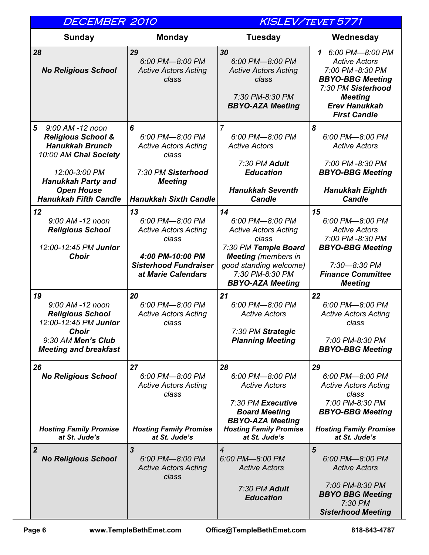| <b>DECEMBER 2010</b>                                                                                                                      |                                                                                                                                         |                                                                                                                                                                                             | KISLEV/TEVET 5771                                                                                                                                                               |
|-------------------------------------------------------------------------------------------------------------------------------------------|-----------------------------------------------------------------------------------------------------------------------------------------|---------------------------------------------------------------------------------------------------------------------------------------------------------------------------------------------|---------------------------------------------------------------------------------------------------------------------------------------------------------------------------------|
| Sunday                                                                                                                                    | <b>Monday</b>                                                                                                                           | <b>Tuesday</b>                                                                                                                                                                              | Wednesday                                                                                                                                                                       |
| 28<br><b>No Religious School</b>                                                                                                          | 29<br>6:00 PM-8:00 PM<br><b>Active Actors Acting</b><br>class                                                                           | 30<br>6:00 PM-8:00 PM<br><b>Active Actors Acting</b><br>class<br>7:30 PM-8:30 PM<br><b>BBYO-AZA Meeting</b>                                                                                 | 1 6:00 PM-8:00 PM<br><b>Active Actors</b><br>7:00 PM -8:30 PM<br><b>BBYO-BBG Meeting</b><br>7:30 PM Sisterhood<br><b>Meeting</b><br><b>Erev Hanukkah</b><br><b>First Candle</b> |
| 5<br>9:00 AM -12 noon<br><b>Religious School &amp;</b><br><b>Hanukkah Brunch</b><br>10:00 AM Chai Society<br>12:00-3:00 PM                | 6<br>6:00 PM-8:00 PM<br><b>Active Actors Acting</b><br>class<br>7:30 PM Sisterhood                                                      | $\overline{7}$<br>6:00 PM-8:00 PM<br><b>Active Actors</b><br>7:30 PM Adult<br><b>Education</b>                                                                                              | 8<br>6:00 PM-8:00 PM<br><b>Active Actors</b><br>7:00 PM -8:30 PM<br><b>BBYO-BBG Meeting</b>                                                                                     |
| <b>Hanukkah Party and</b><br><b>Open House</b><br><b>Hanukkah Fifth Candle</b>                                                            | <b>Meeting</b><br><b>Hanukkah Sixth Candle</b>                                                                                          | <b>Hanukkah Seventh</b><br><b>Candle</b>                                                                                                                                                    | <b>Hanukkah Eighth</b><br><b>Candle</b>                                                                                                                                         |
| 12<br>9:00 AM -12 noon<br><b>Religious School</b><br>12:00-12:45 PM Junior<br><b>Choir</b>                                                | 13<br>6:00 PM-8:00 PM<br><b>Active Actors Acting</b><br>class<br>4:00 PM-10:00 PM<br><b>Sisterhood Fundraiser</b><br>at Marie Calendars | 14<br>6:00 PM-8:00 PM<br><b>Active Actors Acting</b><br>class<br>7:30 PM Temple Board<br><b>Meeting</b> (members in<br>good standing welcome)<br>7:30 PM-8:30 PM<br><b>BBYO-AZA Meeting</b> | 15<br>6:00 PM-8:00 PM<br><b>Active Actors</b><br>7:00 PM -8:30 PM<br><b>BBYO-BBG Meeting</b><br>7:30-8:30 PM<br><b>Finance Committee</b><br><b>Meeting</b>                      |
| 19<br>9:00 AM -12 noon<br><b>Religious School</b><br>12:00-12:45 PM Junior<br>Choir<br>9:30 AM Men's Club<br><b>Meeting and breakfast</b> | 20<br>6:00 PM-8:00 PM<br><b>Active Actors Acting</b><br>class                                                                           | 21<br>6:00 PM-8:00 PM<br><b>Active Actors</b><br>7:30 PM Strategic<br><b>Planning Meeting</b>                                                                                               | 22<br>6:00 PM-8:00 PM<br><b>Active Actors Acting</b><br>class<br>7:00 PM-8:30 PM<br><b>BBYO-BBG Meeting</b>                                                                     |
| 26<br><b>No Religious School</b><br><b>Hosting Family Promise</b><br>at St. Jude's                                                        | 27<br>6:00 PM-8:00 PM<br><b>Active Actors Acting</b><br>class<br><b>Hosting Family Promise</b><br>at St. Jude's                         | 28<br>6:00 PM-8:00 PM<br><b>Active Actors</b><br>7:30 PM Executive<br><b>Board Meeting</b><br><b>BBYO-AZA Meeting</b><br><b>Hosting Family Promise</b><br>at St. Jude's                     | 29<br>6:00 PM-8:00 PM<br><b>Active Actors Acting</b><br>class<br>7:00 PM-8:30 PM<br><b>BBYO-BBG Meeting</b><br><b>Hosting Family Promise</b><br>at St. Jude's                   |
| $\overline{2}$<br><b>No Religious School</b>                                                                                              | $\mathbf{3}$<br>6:00 PM-8:00 PM<br><b>Active Actors Acting</b><br>class                                                                 | $\overline{4}$<br>6:00 PM-8:00 PM<br><b>Active Actors</b><br>7:30 PM Adult<br><b>Education</b>                                                                                              | 5<br>6:00 PM-8:00 PM<br><b>Active Actors</b><br>7:00 PM-8:30 PM<br><b>BBYO BBG Meeting</b><br>7:30 PM<br><b>Sisterhood Meeting</b>                                              |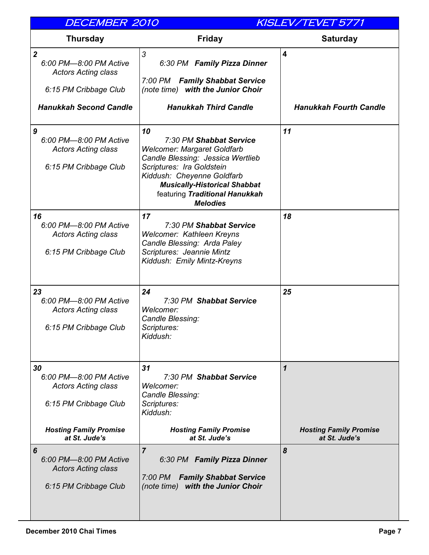| <b>DECEMBER 2010</b>                                                                                                 |                                                                                                                                                                                                                                                                 | KISLEV/TEVET 5771                                           |
|----------------------------------------------------------------------------------------------------------------------|-----------------------------------------------------------------------------------------------------------------------------------------------------------------------------------------------------------------------------------------------------------------|-------------------------------------------------------------|
| <b>Thursday</b>                                                                                                      | <b>Friday</b>                                                                                                                                                                                                                                                   | <b>Saturday</b>                                             |
| $\boldsymbol{2}$<br>6:00 PM-8:00 PM Active<br><b>Actors Acting class</b>                                             | 3<br>6:30 PM Family Pizza Dinner                                                                                                                                                                                                                                | $\overline{\mathbf{4}}$                                     |
| 6:15 PM Cribbage Club                                                                                                | 7:00 PM Family Shabbat Service<br>(note time) with the Junior Choir                                                                                                                                                                                             |                                                             |
| <b>Hanukkah Second Candle</b>                                                                                        | <b>Hanukkah Third Candle</b>                                                                                                                                                                                                                                    | <b>Hanukkah Fourth Candle</b>                               |
| 9<br>6:00 PM-8:00 PM Active<br><b>Actors Acting class</b><br>6:15 PM Cribbage Club                                   | 10<br>7:30 PM Shabbat Service<br><b>Welcomer: Margaret Goldfarb</b><br>Candle Blessing: Jessica Wertlieb<br>Scriptures: Ira Goldstein<br>Kiddush: Cheyenne Goldfarb<br><b>Musically-Historical Shabbat</b><br>featuring Traditional Hanukkah<br><b>Melodies</b> | 11                                                          |
| 16<br>6:00 PM-8:00 PM Active<br><b>Actors Acting class</b><br>6:15 PM Cribbage Club                                  | 17<br>7:30 PM Shabbat Service<br>Welcomer: Kathleen Kreyns<br>Candle Blessing: Arda Paley<br>Scriptures: Jeannie Mintz<br>Kiddush: Emily Mintz-Kreyns                                                                                                           | 18                                                          |
| 23<br>6:00 PM-8:00 PM Active<br><b>Actors Acting class</b><br>6:15 PM Cribbage Club                                  | 24<br>7:30 PM Shabbat Service<br>Welcomer:<br>Candle Blessing:<br>Scriptures:<br>Kiddush:                                                                                                                                                                       | 25                                                          |
| 30<br>6:00 PM-8:00 PM Active<br><b>Actors Acting class</b><br>6:15 PM Cribbage Club<br><b>Hosting Family Promise</b> | 31<br>7:30 PM Shabbat Service<br>Welcomer:<br>Candle Blessing:<br>Scriptures:<br>Kiddush:<br><b>Hosting Family Promise</b>                                                                                                                                      | $\boldsymbol{\mathcal{L}}$<br><b>Hosting Family Promise</b> |
| at St. Jude's                                                                                                        | at St. Jude's                                                                                                                                                                                                                                                   | at St. Jude's                                               |
| 6<br>6:00 PM-8:00 PM Active<br><b>Actors Acting class</b><br>6:15 PM Cribbage Club                                   | $\overline{7}$<br>6:30 PM Family Pizza Dinner<br>7:00 PM<br><b>Family Shabbat Service</b><br>(note time) with the Junior Choir                                                                                                                                  | 8                                                           |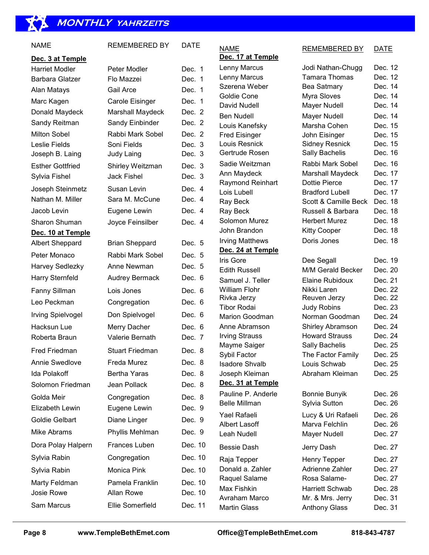# **MONTHLY yahrzeits**

| NAME                                      | <b>REMEMBERED BY</b>                 | DATE               |
|-------------------------------------------|--------------------------------------|--------------------|
|                                           |                                      |                    |
| Dec. 3 at Temple<br><b>Harriet Modler</b> | Peter Modler                         | Dec. 1             |
| Barbara Glatzer                           | Flo Mazzei<br>Gail Arce              | Dec. 1<br>Dec. 1   |
| Alan Matays                               |                                      | Dec.<br>1          |
| Marc Kagen<br>Donald Maydeck              | Carole Eisinger<br>Marshall Maydeck  | Dec. 2             |
| Sandy Reitman                             | Sandy Einbinder                      | Dec. 2             |
| <b>Milton Sobel</b>                       | Rabbi Mark Sobel                     | Dec. 2             |
| Leslie Fields                             | Soni Fields                          | Dec. 3             |
| Joseph B. Laing                           | <b>Judy Laing</b>                    | Dec. 3             |
| Esther Gottfried                          | Shirley Weitzman                     | Dec. 3             |
| Sylvia Fishel                             | <b>Jack Fishel</b>                   | Dec. 3             |
| Joseph Steinmetz                          | Susan Levin                          | Dec. 4             |
| Nathan M. Miller                          | Sara M. McCune                       | Dec. 4             |
| Jacob Levin                               | Eugene Lewin                         | Dec. 4             |
| Sharon Shuman                             | Joyce Feinsilber                     | Dec. 4             |
| <u>Dec. 10 at Temple</u>                  |                                      |                    |
| Albert Sheppard                           | <b>Brian Sheppard</b>                | Dec. 5             |
| Peter Monaco                              | Rabbi Mark Sobel                     | Dec. 5             |
| Harvey Sedlezky                           | Anne Newman                          | Dec. 5             |
| Harry Sternfeld                           | <b>Audrey Bermack</b>                | Dec. 6             |
| Fanny Sillman                             | Lois Jones                           | Dec. 6             |
| Leo Peckman                               | Congregation                         | Dec. 6             |
| Irving Spielvogel                         | Don Spielvogel                       | Dec. 6             |
| Hacksun Lue                               | Merry Dacher                         | Dec. 6             |
| Roberta Braun                             | Valerie Bernath                      | Dec. 7             |
| Fred Friedman                             | <b>Stuart Friedman</b>               | Dec. 8             |
| <b>Annie Swedlove</b>                     | Freda Murez                          | Dec. 8             |
| <b>Ida Polakoff</b>                       | Bertha Yaras                         | Dec. 8             |
| Solomon Friedman                          | Jean Pollack                         | Dec. 8             |
| Golda Meir                                | Congregation                         | Dec. 8             |
| Elizabeth Lewin                           | Eugene Lewin                         | Dec. 9             |
| Goldie Gelbart                            | Diane Linger                         | Dec. 9             |
| Mike Abrams                               | Phyllis Mehlman                      | Dec. 9             |
| Dora Polay Halpern                        | Frances Luben                        | Dec. 10            |
| Sylvia Rabin                              | Congregation                         | Dec. 10            |
| Sylvia Rabin                              | Monica Pink                          | Dec. 10            |
| Marty Feldman<br>Josie Rowe               | Pamela Franklin<br><b>Allan Rowe</b> | Dec. 10<br>Dec. 10 |
| Sam Marcus                                | Ellie Somerfield                     | Dec. 11            |

| <b>NAME</b><br>Dec. 17 at Temple | <b>REMEMBERED BY</b>     | DATE    |
|----------------------------------|--------------------------|---------|
| Lenny Marcus                     | Jodi Nathan-Chugg        | Dec. 12 |
| Lenny Marcus                     | <b>Tamara Thomas</b>     | Dec. 12 |
| Szerena Weber                    | Bea Satmary              | Dec. 14 |
| Goldie Cone                      | Myra Sloves              | Dec. 14 |
| David Nudell                     | Mayer Nudell             | Dec. 14 |
| <b>Ben Nudell</b>                | <b>Mayer Nudell</b>      | Dec. 14 |
| Louis Kanefsky                   | Marsha Cohen             | Dec. 15 |
| <b>Fred Eisinger</b>             | John Eisinger            | Dec. 15 |
| Louis Resnick                    | Sidney Resnick           | Dec. 15 |
| Gertrude Rosen                   | Sally Bachelis           | Dec. 16 |
| Sadie Weitzman                   | Rabbi Mark Sobel         | Dec. 16 |
| Ann Maydeck                      | Marshall Maydeck         | Dec. 17 |
| <b>Raymond Reinhart</b>          | <b>Dottie Pierce</b>     | Dec. 17 |
| Lois Lubell                      | <b>Bradford Lubell</b>   | Dec. 17 |
| Ray Beck                         | Scott & Camille Beck     | Dec. 18 |
| Ray Beck                         | Russell & Barbara        | Dec. 18 |
| Solomon Murez                    | <b>Herbert Murez</b>     | Dec. 18 |
| John Brandon                     | <b>Kitty Cooper</b>      | Dec. 18 |
| <b>Irving Matthews</b>           | Doris Jones              | Dec. 18 |
| Dec. 24 at Temple                |                          |         |
| Iris Gore                        | Dee Segall               | Dec. 19 |
| <b>Edith Russell</b>             | <b>M/M Gerald Becker</b> | Dec. 20 |
| Samuel J. Teller                 | Elaine Rubidoux          | Dec. 21 |
| <b>William Flohr</b>             | Nikki Laren              | Dec. 22 |
| Rivka Jerzy                      | Reuven Jerzy             | Dec. 22 |
| <b>Tibor Rodai</b>               | <b>Judy Robins</b>       | Dec. 23 |
| Marion Goodman                   | Norman Goodman           | Dec. 24 |
| Anne Abramson                    | <b>Shirley Abramson</b>  | Dec. 24 |
| <b>Irving Strauss</b>            | <b>Howard Strauss</b>    | Dec. 24 |
| Mayme Saiger                     | Sally Bachelis           | Dec. 25 |
| Sybil Factor                     | The Factor Family        | Dec. 25 |
| <b>Isadore Shvalb</b>            | Louis Schwab             | Dec. 25 |
| Joseph Kleiman                   | Abraham Kleiman          | Dec. 25 |
| Dec. 31 at Temple                |                          |         |
| Pauline P. Anderle               | <b>Bonnie Bunyik</b>     | Dec. 26 |
| <b>Belle Millman</b>             | Sylvia Sutton            | Dec. 26 |
| Yael Rafaeli                     | Lucy & Uri Rafaeli       | Dec. 26 |
| <b>Albert Lasoff</b>             | Marva Felchlin           | Dec. 26 |
| Leah Nudell                      | Mayer Nudell             | Dec. 27 |
| Bessie Dash                      | Jerry Dash               | Dec. 27 |
| Raja Tepper                      | <b>Henry Tepper</b>      | Dec. 27 |
| Donald a. Zahler                 | Adrienne Zahler          | Dec. 27 |
| Raquel Salame                    | Rosa Salame-             | Dec. 27 |
| Max Fishkin                      | <b>Harriett Schwab</b>   | Dec. 28 |
| Avraham Marco                    | Mr. & Mrs. Jerry         | Dec. 31 |
| Martin Glass                     | <b>Anthony Glass</b>     | Dec. 31 |
|                                  |                          |         |

| Norman Good<br><b>Shirley Abram</b><br><b>Howard Strau</b><br>Sally Bachelis<br>The Factor Fa<br>Louis Schwab<br>Abraham Klei<br><b>Bonnie Bunyil</b><br>Sylvia Sutton<br>Lucy & Uri Ra<br>Marva Felchli<br>Mayer Nudell<br>Jerry Dash<br><b>Henry Tepper</b><br>Adrienne Zah<br>Rosa Salame<br><b>Harriett Schw</b><br>Mr. & Mrs. Je<br><b>Anthony Glas</b><br>ethEmet.com |    | Judy Robins |
|-----------------------------------------------------------------------------------------------------------------------------------------------------------------------------------------------------------------------------------------------------------------------------------------------------------------------------------------------------------------------------|----|-------------|
|                                                                                                                                                                                                                                                                                                                                                                             |    |             |
|                                                                                                                                                                                                                                                                                                                                                                             |    |             |
|                                                                                                                                                                                                                                                                                                                                                                             |    |             |
|                                                                                                                                                                                                                                                                                                                                                                             |    |             |
|                                                                                                                                                                                                                                                                                                                                                                             |    |             |
|                                                                                                                                                                                                                                                                                                                                                                             |    |             |
|                                                                                                                                                                                                                                                                                                                                                                             |    |             |
|                                                                                                                                                                                                                                                                                                                                                                             | le |             |
|                                                                                                                                                                                                                                                                                                                                                                             | e  |             |
|                                                                                                                                                                                                                                                                                                                                                                             |    |             |
|                                                                                                                                                                                                                                                                                                                                                                             |    |             |
|                                                                                                                                                                                                                                                                                                                                                                             |    |             |
|                                                                                                                                                                                                                                                                                                                                                                             |    |             |
|                                                                                                                                                                                                                                                                                                                                                                             |    |             |
|                                                                                                                                                                                                                                                                                                                                                                             |    |             |
|                                                                                                                                                                                                                                                                                                                                                                             |    |             |
|                                                                                                                                                                                                                                                                                                                                                                             |    |             |
|                                                                                                                                                                                                                                                                                                                                                                             |    |             |
|                                                                                                                                                                                                                                                                                                                                                                             |    |             |
|                                                                                                                                                                                                                                                                                                                                                                             |    |             |
|                                                                                                                                                                                                                                                                                                                                                                             |    |             |
|                                                                                                                                                                                                                                                                                                                                                                             |    |             |
|                                                                                                                                                                                                                                                                                                                                                                             |    |             |
|                                                                                                                                                                                                                                                                                                                                                                             |    |             |
|                                                                                                                                                                                                                                                                                                                                                                             |    |             |

 $\overline{a}$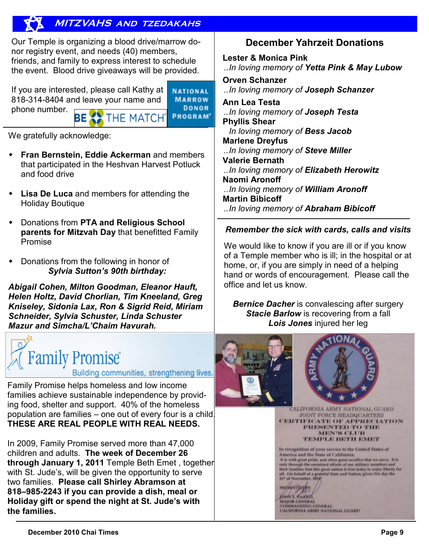# **MITZVAHS and tzedakahs**

Our Temple is organizing a blood drive/marrow donor registry event, and needs (40) members, friends, and family to express interest to schedule the event. Blood drive giveaways will be provided.

If you are interested, please call Kathy at 818-314-8404 and leave your name and phone number. ТНЕ МАТСН® ΒE

**NATIONAL MARROW** DONOR PROGRAM<sup>®</sup>

We gratefully acknowledge:

- **Fran Bernstein, Eddie Ackerman** and members that participated in the Heshvan Harvest Potluck and food drive
- **Lisa De Luca** and members for attending the Holiday Boutique
- Donations from **PTA and Religious School parents for Mitzvah Day** that benefitted Family Promise
- Donations from the following in honor of *Sylvia Sutton's 90th birthday:*

*Abigail Cohen, Milton Goodman, Eleanor Hauft, Helen Holtz, David Chorlian, Tim Kneeland, Greg Kniseley, Sidonia Lax, Ron & Sigrid Reid, Miriam Schneider, Sylvia Schuster, Linda Schuster Mazur and Simcha/L'Chaim Havurah.* 



Building communities, strengthening lives.

Family Promise helps homeless and low income families achieve sustainable independence by providing food, shelter and support. 40% of the homeless population are families – one out of every four is a child. **THESE ARE REAL PEOPLE WITH REAL NEEDS.** 

In 2009, Family Promise served more than 47,000 children and adults. **The week of December 26 through January 1, 2011** Temple Beth Emet , together with St. Jude's, will be given the opportunity to serve two families. **Please call Shirley Abramson at 818–985-2243 if you can provide a dish, meal or Holiday gift or spend the night at St. Jude's with the families.** 

# **December Yahrzeit Donations**

**Lester & Monica Pink**  ..*In loving memory of Yetta Pink & May Lubow* 

**Orven Schanzer**  ..*In loving memory of Joseph Schanzer*  **Ann Lea Testa**  ..*In loving memory of Joseph Testa*  **Phyllis Shear**  *In loving memory of Bess Jacob* 

**Marlene Dreyfus**  ..*In loving memory of Steve Miller*  **Valerie Bernath**  ..*In loving memory of Elizabeth Herowitz*  **Naomi Aronoff**  ..*In loving memory of William Aronoff*  **Martin Bibicoff**  ..*In loving memory of Abraham Bibicoff* 

## *Remember the sick with cards, calls and visits*

We would like to know if you are ill or if you know of a Temple member who is ill; in the hospital or at home, or, if you are simply in need of a helping hand or words of encouragement. Please call the office and let us know.

*Bernice Dacher* is convalescing after surgery **Stacie Barlow** is recovering from a fall *Lois Jones* injured her leg





CALIFORNIA ARMY NATIONAL GUARD **JOINT FORCE HEADQUARTERS** CERTIFICATE OF APPRECIATION PRESENTED TO THE MEN'S CLUB TEMPLE BETH EMIT

In recognition of your service to the United States of America and the State of California; Function area in the case of National and the spectrum of the with great prints and other great succeive that the environment and only through the sensitive defects of our military monutures and the conditional that great

**PROSPERTY LISOS**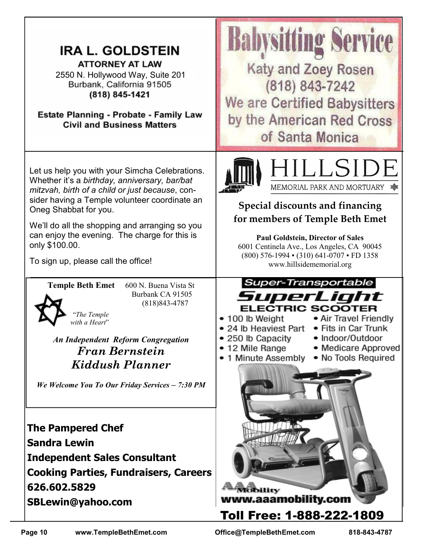| <b>IRA L. GOLDSTEIN</b><br><b>ATTORNEY AT LAW</b><br>2550 N. Hollywood Way, Suite 201<br>Burbank, California 91505<br>(818) 845-1421<br>Estate Planning - Probate - Family Law<br><b>Civil and Business Matters</b>                                                                                                                                                                                                                                  | Babysitting<br><b>Katy and Zoey Rosen</b><br>(818) 843-7242<br>We are Certified Babysitters<br>by the American Red Cross<br>of Santa Monica                                                                                                                                                                                    |
|------------------------------------------------------------------------------------------------------------------------------------------------------------------------------------------------------------------------------------------------------------------------------------------------------------------------------------------------------------------------------------------------------------------------------------------------------|--------------------------------------------------------------------------------------------------------------------------------------------------------------------------------------------------------------------------------------------------------------------------------------------------------------------------------|
| Let us help you with your Simcha Celebrations.<br>Whether it's a birthday, anniversary, bar/bat<br>mitzvah, birth of a child or just because, con-<br>sider having a Temple volunteer coordinate an<br>Oneg Shabbat for you.<br>We'll do all the shopping and arranging so you<br>can enjoy the evening. The charge for this is<br>only \$100.00.<br>To sign up, please call the office!                                                             | HILLSIDE<br>MEMORIAL PARK AND MORTUARY<br>Special discounts and financing<br>for members of Temple Beth Emet<br><b>Paul Goldstein, Director of Sales</b><br>6001 Centinela Ave., Los Angeles, CA 90045<br>(800) 576-1994 • (310) 641-0707 • FD 1358<br>www.hillsidememorial.org                                                |
| <b>Temple Beth Emet</b><br>600 N. Buena Vista St<br>Burbank CA 91505<br>$(818)843 - 4787$<br>"The Temple<br>with a Heart"<br><b>An Independent Reform Congregation</b><br><b>Fran Bernstein</b><br>Kiddush Planner<br>We Welcome You To Our Friday Services - 7:30 PM<br><b>The Pampered Chef</b><br><b>Sandra Lewin</b><br><b>Independent Sales Consultant</b><br><b>Cooking Parties, Fundraisers, Careers</b><br>626.602.5829<br>SBLewin@yahoo.com | <b>Super-Transportable</b><br>SuperLight<br><b>ELECTRIC SCOOTER</b><br>• Air Travel Friendly<br>100 lb Weight<br>• 24 lb Heaviest Part<br>• Fits in Car Trunk<br>· Indoor/Outdoor<br>250 lb Capacity<br>• 12 Mile Range<br>• Medicare Approved<br>1 Minute Assembly<br>• No Tools Required<br>Viobility<br>www.aaamobility.com |
|                                                                                                                                                                                                                                                                                                                                                                                                                                                      | Toll Free: 1-888-222-1809                                                                                                                                                                                                                                                                                                      |

 $\Gamma$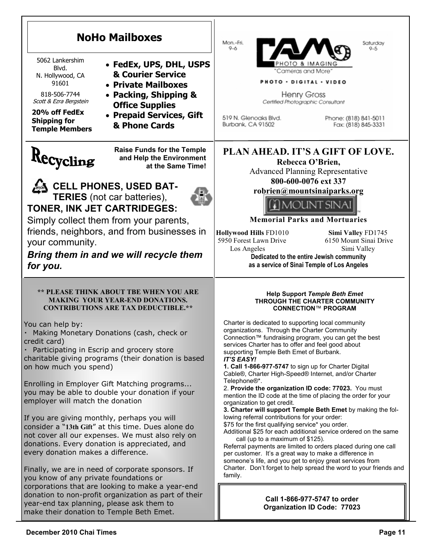| <b>NoHo Mailboxes</b><br>5062 Lankershim<br>• FedEx, UPS, DHL, USPS<br>Blvd.<br><b>&amp; Courier Service</b><br>N. Hollywood, CA<br>91601<br>• Private Mailboxes<br>818-506-7744<br>• Packing, Shipping &<br>Scott & Ezra Bergstein<br><b>Office Supplies</b><br>20% off FedEx<br>• Prepaid Services, Gift<br><b>Shipping for</b><br>& Phone Cards<br><b>Temple Members</b>                                                                                                                                                                                                                                                                                                                                                                                                                                                                                                                                                                                                                         | Mon.-Fri.<br>Saturday<br>$9 - 6$<br>$9 - 5$<br>TO & IMAGIN<br>"Cameras and More"<br><b>PHOTO · DIGITAL · VIDEO</b><br>Henry Gross<br>Certified Photographic Consultant<br>519 N. Glenoaks Blvd.<br>Phone: (818) 841-5011<br>Burbank, CA 91502<br>Fax: (818) 845-3331                                                                                                                                                                                                                                                                                                                                                                                                                                                                                                                                                                                                                                                                                                                                                                                                                                                                                                                                                                                                                                       |
|-----------------------------------------------------------------------------------------------------------------------------------------------------------------------------------------------------------------------------------------------------------------------------------------------------------------------------------------------------------------------------------------------------------------------------------------------------------------------------------------------------------------------------------------------------------------------------------------------------------------------------------------------------------------------------------------------------------------------------------------------------------------------------------------------------------------------------------------------------------------------------------------------------------------------------------------------------------------------------------------------------|------------------------------------------------------------------------------------------------------------------------------------------------------------------------------------------------------------------------------------------------------------------------------------------------------------------------------------------------------------------------------------------------------------------------------------------------------------------------------------------------------------------------------------------------------------------------------------------------------------------------------------------------------------------------------------------------------------------------------------------------------------------------------------------------------------------------------------------------------------------------------------------------------------------------------------------------------------------------------------------------------------------------------------------------------------------------------------------------------------------------------------------------------------------------------------------------------------------------------------------------------------------------------------------------------------|
| <b>Raise Funds for the Temple</b><br>Recycling<br>and Help the Environment<br>at the Same Time!<br><b>CELL PHONES, USED BAT-</b><br><b>TERIES</b> (not car batteries),<br>TONER, INK JET CARTRIDEGES:<br>Simply collect them from your parents,<br>friends, neighbors, and from businesses in<br>your community.<br>Bring them in and we will recycle them<br>for you.                                                                                                                                                                                                                                                                                                                                                                                                                                                                                                                                                                                                                              | PLAN AHEAD. IT'S A GIFT OF LOVE.<br>Rebecca O'Brien,<br><b>Advanced Planning Representative</b><br>800-600-0076 ext 337<br>robrien@mountsinaiparks.org<br>DUNT SINA<br><b>Memorial Parks and Mortuaries</b><br>Hollywood Hills FD1010<br>Simi Valley FD1745<br>5950 Forest Lawn Drive<br>6150 Mount Sinai Drive<br>Los Angeles<br>Simi Valley<br>Dedicated to the entire Jewish community<br>as a service of Sinai Temple of Los Angeles                                                                                                                                                                                                                                                                                                                                                                                                                                                                                                                                                                                                                                                                                                                                                                                                                                                                   |
| <b>** PLEASE THINK ABOUT TBE WHEN YOU ARE</b><br><b>MAKING YOUR YEAR-END DONATIONS.</b><br><b>CONTRIBUTIONS ARE TAX DEDUCTIBLE.**</b><br>You can help by:<br>Making Monetary Donations (cash, check or<br>credit card)<br>Participating in Escrip and grocery store<br>charitable giving programs (their donation is based<br>on how much you spend)<br>Enrolling in Employer Gift Matching programs<br>you may be able to double your donation if your<br>employer will match the donation<br>If you are giving monthly, perhaps you will<br>consider a "13th Gift" at this time. Dues alone do<br>not cover all our expenses. We must also rely on<br>donations. Every donation is appreciated, and<br>every donation makes a difference.<br>Finally, we are in need of corporate sponsors. If<br>you know of any private foundations or<br>corporations that are looking to make a year-end<br>donation to non-profit organization as part of their<br>year-end tax planning, please ask them to | <b>Help Support Temple Beth Emet</b><br>THROUGH THE CHARTER COMMUNITY<br><b>CONNECTION™ PROGRAM</b><br>Charter is dedicated to supporting local community<br>organizations. Through the Charter Community<br>Connection™ fundraising program, you can get the best<br>services Charter has to offer and feel good about<br>supporting Temple Beth Emet of Burbank.<br><b>IT'S EASY!</b><br>1. Call 1-866-977-5747 to sign up for Charter Digital<br>Cable®, Charter High-Speed® Internet, and/or Charter<br>Telephone®*.<br>2. Provide the organization ID code: 77023. You must<br>mention the ID code at the time of placing the order for your<br>organization to get credit.<br>3. Charter will support Temple Beth Emet by making the fol-<br>lowing referral contributions for your order:<br>\$75 for the first qualifying service* you order.<br>Additional \$25 for each additional service ordered on the same<br>call (up to a maximum of \$125).<br>Referral payments are limited to orders placed during one call<br>per customer. It's a great way to make a difference in<br>someone's life, and you get to enjoy great services from<br>Charter. Don't forget to help spread the word to your friends and<br>family.<br>Call 1-866-977-5747 to order<br><b>Organization ID Code: 77023</b> |